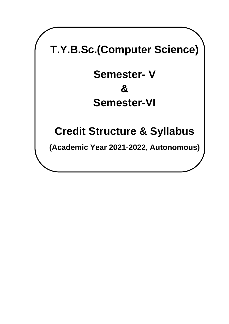# **T.Y.B.Sc.(Computer Science)**

# **Semester- V & Semester-VI**

# **Credit Structure & Syllabus**

**(Academic Year 2021-2022, Autonomous)**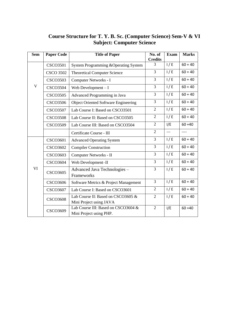# **Course Structure for T. Y. B. Sc. (Computer Science) Sem-V & VI Subject: Computer Science**

| <b>Sem</b>  | <b>Paper Code</b> | <b>Title of Paper</b>                                          | No. of<br><b>Credits</b> | <b>Exam</b> | <b>Marks</b> |
|-------------|-------------------|----------------------------------------------------------------|--------------------------|-------------|--------------|
|             | <b>CSCO3501</b>   | System Programming & Operating System                          | 3                        | 1/E         | $60 + 40$    |
|             | <b>CSCO 3502</b>  | <b>Theoretical Computer Science</b>                            | 3                        | 1/E         | $60 + 40$    |
|             | <b>CSCO3503</b>   | Computer Networks - I                                          | 3                        | 1/E         | $60 + 40$    |
| $\mathbf V$ | <b>CSCO3504</b>   | Web Development $-I$                                           | $\overline{3}$           | 1/E         | $60 + 40$    |
|             | <b>CSCO3505</b>   | Advanced Programming in Java                                   | 3                        | 1/E         | $60 + 40$    |
|             | <b>CSCO3506</b>   | <b>Object Oriented Software Engineering</b>                    | 3                        | 1/E         | $60 + 40$    |
|             | <b>CSCO3507</b>   | Lab Course I: Based on CSCO3501                                | $\overline{2}$           | 1/E         | $60 + 40$    |
|             | <b>CSCO3508</b>   | Lab Course II: Based on CSCO3505                               | $\overline{2}$           | 1/E         | $60 + 40$    |
|             | <b>CSCO3509</b>   | Lab Course III: Based on CSCO3504                              | $\overline{2}$           | I/E         | $60 + 40$    |
|             |                   | Certificate Course - III                                       | $\overline{2}$           | $---$       | ----         |
|             | <b>CSCO3601</b>   | <b>Advanced Operating System</b>                               | $\overline{3}$           | 1/E         | $60 + 40$    |
|             | <b>CSCO3602</b>   | <b>Compiler Construction</b>                                   | $\overline{3}$           | 1/E         | $60 + 40$    |
|             | <b>CSCO3603</b>   | Computer Networks - II                                         | 3                        | 1/E         | $60 + 40$    |
|             | <b>CSCO3604</b>   | Web Development-II                                             | $\overline{3}$           | 1/E         | $60 + 40$    |
| VI          | <b>CSCO3605</b>   | Advanced Java Technologies -                                   | 3                        | 1/E         | $60 + 40$    |
|             |                   | Frameworks                                                     |                          |             |              |
|             | <b>CSCO3606</b>   | Software Metrics & Project Management                          | $\overline{3}$           | 1/E         | $60 + 40$    |
|             | <b>CSCO3607</b>   | Lab Course I: Based on CSCO3601                                | $\overline{2}$           | 1/E         | $60 + 40$    |
|             | <b>CSCO3608</b>   | Lab Course II: Based on CSCO3605 &                             | $\overline{2}$           | 1/E         | $60 + 40$    |
|             |                   | Mini Project using JAVA                                        |                          |             |              |
|             | <b>CSCO3609</b>   | Lab Course III: Based on CSCO3604 &<br>Mini Project using PHP. | $\overline{2}$           | I/E         | $60 + 40$    |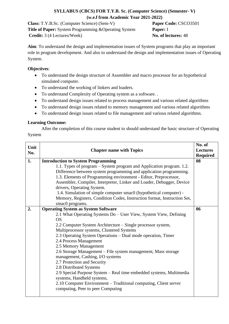# **SYLLABUS (CBCS) FOR T.Y.B. Sc. (Computer Science) (Semester- V) (w.e.f from Academic Year 2021-2022)**

**Class:** T.Y.B.Sc. (Computer Science) (Sem-V) **Paper Code:** CSCO3501 **Title of Paper:** System Programming &Operating System **Paper:** I **Credit:** 3 (4 Lectures/Week) **No. of lectures:** 48

**Aim**: To understand the design and implementation issues of System programs that play an important role in program development. And also to understand the design and implementation issues of Operating System.

### **Objectives**:

- To understand the design structure of Assembler and macro processor for an hypothetical simulated computer.
- To understand the working of linkers and loaders.
- To understand Complexity of Operating system as a software. .
- To understand design issues related to process management and various related algorithms
- To understand design issues related to memory management and various related algorithms
- To understand design issues related to file management and various related algorithms.

# **Learning Outcome:**

After the completion of this course student to should understand the basic structure of Operating System

| Unit<br>No. | <b>Chapter name with Topics</b>                                          | No. of<br><b>Lectures</b><br><b>Required</b> |
|-------------|--------------------------------------------------------------------------|----------------------------------------------|
| 1.          | <b>Introduction to System Programming</b>                                | 08                                           |
|             | 1.1. Types of program – System program and Application program. 1.2.     |                                              |
|             | Difference between system programming and application programming.       |                                              |
|             | 1.3. Elements of Programming environment - Editor, Preprocessor,         |                                              |
|             | Assembler, Compiler, Interpreter, Linker and Loader, Debugger, Device    |                                              |
|             | drivers, Operating System.                                               |                                              |
|             | 1.4. Simulation of simple computer smac0 (hypothetical computer) -       |                                              |
|             | Memory, Registers, Condition Codes, Instruction format, Instruction Set, |                                              |
|             | smac0 programs.                                                          |                                              |
| 2.          | <b>Operating System as System Software</b>                               | 06                                           |
|             | 2.1 What Operating Systems Do - User View, System View, Defining         |                                              |
|             | <b>OS</b>                                                                |                                              |
|             | 2.2 Computer System Architecture – Single processor system,              |                                              |
|             | Multiprocessor systems, Clustered Systems                                |                                              |
|             | 2.3 Operating System Operations – Dual mode operation, Timer             |                                              |
|             | 2.4 Process Management<br>2.5 Memory Management                          |                                              |
|             | 2.6 Storage Management - File system management, Mass storage            |                                              |
|             | management, Cashing, I/O systems                                         |                                              |
|             | 2.7 Protection and Security                                              |                                              |
|             | 2.8 Distributed Systems                                                  |                                              |
|             | 2.9 Special Purpose System - Real time embedded systems, Multimedia      |                                              |
|             | systems, Handheld systems,                                               |                                              |
|             | 2.10 Computer Environment – Traditional computing, Client server         |                                              |
|             | computing, Peer to peer Computing                                        |                                              |
|             |                                                                          |                                              |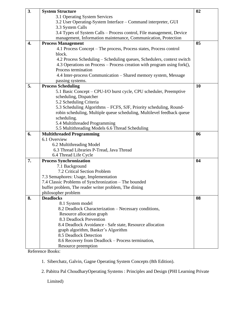| 3. | <b>System Structure</b>                                                  | 02             |
|----|--------------------------------------------------------------------------|----------------|
|    | 3.1 Operating System Services                                            |                |
|    | 3.2 User Operating-System Interface – Command interpreter, GUI           |                |
|    | 3.3 System Calls                                                         |                |
|    | 3.4 Types of System Calls - Process control, File management, Device     |                |
|    | management, Information maintenance, Communication, Protection           |                |
| 4. | <b>Process Management</b>                                                | 0 <sub>5</sub> |
|    | 4.1 Process Concept - The process, Process states, Process control       |                |
|    | block.                                                                   |                |
|    | 4.2 Process Scheduling – Scheduling queues, Schedulers, context switch   |                |
|    | 4.3 Operations on Process – Process creation with program using fork(),  |                |
|    | Process termination                                                      |                |
|    | 4.4 Inter-process Communication – Shared memory system, Message          |                |
|    | passing systems.                                                         |                |
| 5. | <b>Process Scheduling</b>                                                | <b>10</b>      |
|    | 5.1 Basic Concept – CPU-I/O burst cycle, CPU scheduler, Preemptive       |                |
|    | scheduling, Dispatcher                                                   |                |
|    | 5.2 Scheduling Criteria                                                  |                |
|    | 5.3 Scheduling Algorithms – FCFS, SJF, Priority scheduling, Round-       |                |
|    | robin scheduling, Multiple queue scheduling, Multilevel feedback queue   |                |
|    | scheduling.                                                              |                |
|    | 5.4 Multithreaded Programming                                            |                |
|    | 5.5 Multithreading Models 6.6 Thread Scheduling                          |                |
| 6. | <b>Multithreaded Programming</b>                                         | 06             |
|    | 6.1 Overview                                                             |                |
|    |                                                                          |                |
|    | 6.2 Multithreading Model                                                 |                |
|    | 6.3 Thread Libraries P-Tread, Java Thread                                |                |
|    | 6.4 Thread Life Cycle                                                    |                |
| 7. | <b>Process Synchronization</b>                                           | 04             |
|    | 7.1 Background                                                           |                |
|    | 7.2 Critical Section Problem                                             |                |
|    | 7.3 Semaphores: Usage, Implementation                                    |                |
|    | 7.4 Classic Problems of Synchronization - The bounded                    |                |
|    | buffer problem, The reader writer problem, The dining                    |                |
|    | philosopher problem                                                      |                |
| 8. | <b>Deadlocks</b>                                                         | 08             |
|    | 8.1 System model                                                         |                |
|    | 8.2 Deadlock Characterization - Necessary conditions,                    |                |
|    | Resource allocation graph                                                |                |
|    | 8.3 Deadlock Prevention                                                  |                |
|    | 8.4 Deadlock Avoidance - Safe state, Resource allocation                 |                |
|    | graph algorithm, Banker's Algorithm                                      |                |
|    | 8.5 Deadlock Detection                                                   |                |
|    | 8.6 Recovery from Deadlock – Process termination,<br>Resource preemption |                |

Reference Books:

1. Siberchatz, Galvin, Gagne Operating System Concepts (8th Edition).

2. Pabitra Pal ChoudharyOperating Systems : Principles and Design (PHI Learning Private

Limited)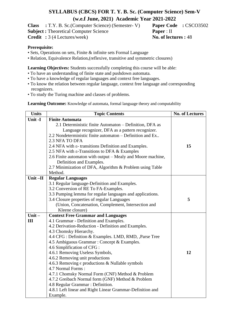# **SYLLABUS (CBCS) FOR T. Y. B. Sc. (Computer Science) Sem-V (w.e.f June, 2021) Academic Year 2021-2022**

**Class :** T.Y. B. Sc.(Computer Science) (Semester- V) **Paper Code :** CSCO3502

**Subject :** Theoretical Computer Science **Paper** : II

**Credit :** 3 (4 Lectures/week) **No. of lectures :** 48

# **Prerequisite:**

- Sets, Operations on sets, Finite & infinite sets Formal Language
- Relation, Equivalence Relation,(reflexive, transitive and symmetric closures)

**Learning Objectives:** Students successfully completing this course will be able:

- To have an understanding of finite state and pushdown automata.
- To have a knowledge of regular languages and context free languages.
- To know the relation between regular language, context free language and corresponding recognizers.
- To study the Turing machine and classes of problems.

**Learning Outcome:** Knowledge of automata, formal language theory and computability

| <b>Units</b> | <b>Topic Contents</b>                                             | <b>No. of Lectures</b> |
|--------------|-------------------------------------------------------------------|------------------------|
| Unit -I      | <b>Finite Automata</b>                                            |                        |
|              | 2.1 Deterministic finite Automaton – Definition, DFA as           |                        |
|              | Language recognizer, DFA as a pattern recognizer.                 |                        |
|              | 2.2 Nondeterministic finite automaton – Definition and Ex         |                        |
|              | 2.3 NFA TO DFA                                                    |                        |
|              | 2.4 NFA with $\varepsilon$ - transitions Definition and Examples. | 15                     |
|              | 2.5 NFA with ε-Transitions to DFA & Examples                      |                        |
|              | 2.6 Finite automaton with output – Mealy and Moore machine,       |                        |
|              | Definition and Examples.                                          |                        |
|              | 2.7 Minimization of DFA, Algorithm & Problem using Table          |                        |
|              | Method.                                                           |                        |
| Unit $-II$   | <b>Regular Languages</b>                                          |                        |
|              | 3.1 Regular language-Definition and Examples.                     |                        |
|              | 3.2 Conversion of RE To FA-Examples.                              |                        |
|              | 3.3 Pumping lemma for regular languages and applications.         |                        |
|              | 3.4 Closure properties of regular Languages                       | 5                      |
|              | (Union, Concatenation, Complement, Intersection and               |                        |
|              | Kleene closure)                                                   |                        |
| Unit $-$     | <b>Context Free Grammar and Languages</b>                         |                        |
| III          | 4.1 Grammar - Definition and Examples.                            |                        |
|              | 4.2 Derivation-Reduction - Definition and Examples.               |                        |
|              | 4.3 Chomsky Hierarchy.                                            |                        |
|              | 4.4 CFG : Definition & Examples. LMD, RMD, ,Parse Tree            |                        |
|              | 4.5 Ambiguous Grammar : Concept & Examples.                       |                        |
|              | 4.6 Simplification of CFG :                                       |                        |
|              | 4.6.1 Removing Useless Symbols,                                   | 12                     |
|              | 4.6.2 Removing unit productions                                   |                        |
|              | 4.6.3 Removing $\epsilon$ productions & Nullable symbols          |                        |
|              | 4.7 Normal Forms:                                                 |                        |
|              | 4.7.1 Chomsky Normal Form (CNF) Method & Problem                  |                        |
|              | 4.7.2 Greibach Normal form (GNF) Method & Problem                 |                        |
|              | 4.8 Regular Grammar : Definition.                                 |                        |
|              | 4.8.1 Left linear and Right Linear Grammar-Definition and         |                        |
|              | Example.                                                          |                        |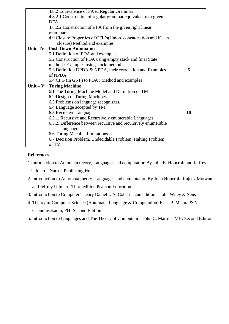| 4.8.2 Equivalence of FA & Regular Grammar                      |    |
|----------------------------------------------------------------|----|
| 4.8.2.1 Construction of regular grammar equivalent to a given  |    |
| <b>DFA</b>                                                     |    |
| 4.8.2.2 Construction of a FA from the given right linear       |    |
| grammar                                                        |    |
| 4.9 Closure Properties of CFL's(Union, concatenation and Kleen |    |
| closure) Method and examples                                   |    |
| Unit-IV   Push Down Automaton                                  |    |
| 5.1 Definition of PDA and examples                             |    |
| 5.2 Construction of PDA using empty stack and final State      |    |
| method: Examples using stack method                            |    |
| 5.3 Definition DPDA & NPDA, their correlation and Examples     | 6  |
| of NPDA                                                        |    |
| 5.4 CFG (in GNF) to PDA : Method and examples                  |    |
| Unit – $V$ Turing Machine                                      |    |
| 6.1 The Turing Machine Model and Definition of TM              |    |
| 6.2 Design of Turing Machines                                  |    |
| 6.3 Problems on language recognizers.                          |    |
| 6.4 Language accepted by TM                                    |    |
| 6.5 Recursive Languages                                        | 10 |
| 6.5.1. Recursive and Recursively enumerable Languages.         |    |
| 6.5.2. Difference between recursive and recursively enumerable |    |
| language.                                                      |    |
| 6.6 Turing Machine Limitations                                 |    |
| 6.7 Decision Problem, Undecidable Problem, Halting Problem     |    |
| of TM                                                          |    |

# **References :-**

1.Introduction to Automata theory, Languages and computation By John E. Hopcroft and Jeffrey

Ullman – Narosa Publishing House.

- 2. Introduction to Automata theory, Languages and computation By John Hopcroft, Rajeev Motwani and Jeffrey Ullman –Third edition Pearson Education
- 3. Introduction to Computer Theory Daniel I. A. Cohen 2nd edition John Wiley & Sons
- 4. Theory of Computer Science (Automata, Language & Computation) K. L. P. Mishra & N. Chandrasekaran, PHI Second Edition
- 5. Introduction to Languages and The Theory of Computation John C. Martin TMH, Second Edition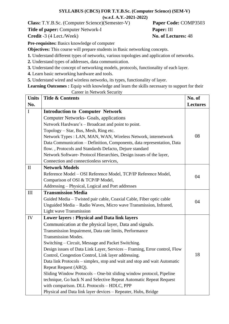#### **SYLLABUS (CBCS) FOR T.Y.B.Sc. (Computer Science) (SEM-V) (w.e.f. A.Y.-2021-2022)**

**Class:** T.Y.B.Sc. (Computer Science)(Semester-V) **Paper Code:** COMP3503

**Title of paper:** Computer Network-I **Paper:** III

**Credit** -3 (4 Lect./Week) **No. of Lectures:** 48

**Pre-requisites:** Basics knowledge of computer

**Objectives:** This course will prepare students in Basic networking concepts.

**1.** Understand different types of networks, various topologies and application of networks.

**2.** Understand types of addresses, data communication.

**3.** Understand the concept of networking models, protocols, functionality of each layer.

**4.** Learn basic networking hardware and tools.

**5.** Understand wired and wireless networks, its types, functionality of layer.

Learning Outcomes : Equip with knowledge and learn the skills necessary to support for their Career in Network Security

| <b>Units</b> | <b>Title &amp; Contents</b>                                               | No. of          |
|--------------|---------------------------------------------------------------------------|-----------------|
| No.          |                                                                           | <b>Lectures</b> |
| $\mathbf I$  | <b>Introduction to Computer Network</b>                                   |                 |
|              | <b>Computer Networks- Goals, applications</b>                             |                 |
|              | Network Hardware's – Broadcast and point to point.                        |                 |
|              | Topology – Star, Bus, Mesh, Ring etc.                                     |                 |
|              | Network Types : LAN, MAN, WAN, Wireless Network, internetwork             | 08              |
|              | Data Communication - Definition, Components, data representation, Data    |                 |
|              | flow., Protocols and Standards Defacto, Dejure standard                   |                 |
|              | Network Software- Protocol Hierarchies, Design issues of the layer,       |                 |
|              | Connection and connectionless services,                                   |                 |
| $\mathbf{I}$ | <b>Network Models</b>                                                     |                 |
|              | Reference Model - OSI Reference Model, TCP/IP Reference Model,            | 04              |
|              | Comparison of OSI & TCP/IP Model,                                         |                 |
|              | Addressing - Physical, Logical and Port addresses                         |                 |
| III          | <b>Transmission Media</b>                                                 |                 |
|              | Guided Media - Twisted pair cable, Coaxial Cable, Fiber optic cable       | 04              |
|              | Unguided Media - Radio Waves, Micro wave Transmission, Infrared,          |                 |
|              | <b>Light wave Transmission</b>                                            |                 |
| IV           | <b>Lower layers: Physical and Data link layers</b>                        |                 |
|              | Communication at the physical layer, Data and signals.                    |                 |
|              | Transmission Impairment, Data rate limits, Performance                    |                 |
|              | <b>Transmission Modes.</b>                                                |                 |
|              | Switching - Circuit, Message and Packet Switching.                        |                 |
|              | Design issues of Data Link Layer, Services - Framing, Error control, Flow |                 |
|              | Control, Congestion Control, Link layer addressing.                       | 18              |
|              | Data link Protocols – simplex, stop and wait and stop and wait Automatic  |                 |
|              | Repeat Request (ARQ).                                                     |                 |
|              | Sliding Window Protocols – One-bit sliding window protocol, Pipeline      |                 |
|              | technique, Go back N and Selective Repeat Automatic Repeat Request        |                 |
|              | with comparison. DLL Protocols - HDLC, PPP                                |                 |
|              | Physical and Data link layer devices - Repeater, Hubs, Bridge             |                 |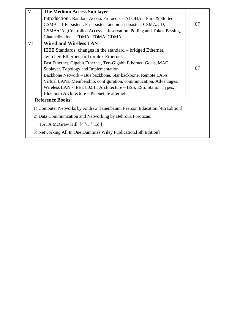| V                                                                          | The Medium Access Sub layer                                           |    |  |  |
|----------------------------------------------------------------------------|-----------------------------------------------------------------------|----|--|--|
|                                                                            | Introduction., Random Access Protocols – ALOHA – Pure & Slotted       |    |  |  |
|                                                                            | CSMA – 1 Persistent, P-persistent and non-persistent CSMA/CD,         | 07 |  |  |
|                                                                            | CSMA/CA., Controlled Access – Reservation, Polling and Token Passing, |    |  |  |
|                                                                            | Channelization - FDMA, TDMA, CDMA                                     |    |  |  |
| VI                                                                         | <b>Wired and Wireless LAN</b>                                         |    |  |  |
|                                                                            | IEEE Standards, changes in the standard – bridged Ethernet,           |    |  |  |
|                                                                            | switched Ethernet, full duplex Ethernet.                              |    |  |  |
|                                                                            | Fast Ethernet, Gigabit Ethernet, Ten-Gigabit Ethernet: Goals, MAC     |    |  |  |
|                                                                            | Sublayer, Topology and Implementation.                                | 07 |  |  |
|                                                                            | Backbone Network - Bus backbone, Star backbone, Remote LANs           |    |  |  |
|                                                                            | Virtual LANs: Membership, configuration, communication, Advantages.   |    |  |  |
|                                                                            | Wireless LAN - IEEE 802.11 Architecture – BSS, ESS, Station Types,    |    |  |  |
|                                                                            | Bluetooth Architecture – Piconet, Scatternet                          |    |  |  |
|                                                                            | <b>Reference Books:</b>                                               |    |  |  |
| 1) Computer Networks by Andrew Tanenbaum, Pearson Education. [4th Edition] |                                                                       |    |  |  |
|                                                                            | 2) Data Communication and Networking by Behrouz Forouzan,             |    |  |  |
| TATA McGraw Hill. [4 <sup>th</sup> /5 <sup>th</sup> Ed.]                   |                                                                       |    |  |  |
|                                                                            | 3) Networking All In One Dummies Wiley Publication. [5th Edition]     |    |  |  |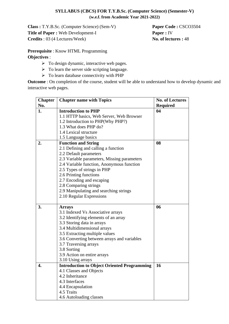### **SYLLABUS (CBCS) FOR T.Y.B.Sc. (Computer Science) (Semester-V) (w.e.f. from Academic Year 2021-2022)**

**Class :** T.Y.B.Sc. (Computer Science) (Sem-V) **Paper Code :** CSCO3504 **Title of Paper :** Web Development-I **Paper :** IV **Credits** : 03 (4 Lectures/Week) **No. of lectures :** 48

**Prerequisite** : Know HTML Programming **Objectives** :

- $\triangleright$  To design dynamic, interactive web pages.
- $\triangleright$  To learn the server side scripting language.
- $\triangleright$  To learn database connectivity with PHP

**Outcome** : On completion of the course, student will be able to understand how to develop dynamic and interactive web pages.

| <b>Chapter</b> | <b>Chapter name with Topics</b>                    | <b>No. of Lectures</b> |
|----------------|----------------------------------------------------|------------------------|
| No.            |                                                    | <b>Required</b>        |
| 1.             | <b>Introduction to PHP</b>                         | 04                     |
|                | 1.1 HTTP basics, Web Server, Web Browser           |                        |
|                | 1.2 Introduction to PHP(Why PHP?)                  |                        |
|                | 1.3 What does PHP do?                              |                        |
|                | 1.4 Lexical structure                              |                        |
|                | 1.5 Language basics                                |                        |
| 2.             | <b>Function and String</b>                         | 08                     |
|                | 2.1 Defining and calling a function                |                        |
|                | 2.2 Default parameters                             |                        |
|                | 2.3 Variable parameters, Missing parameters        |                        |
|                | 2.4 Variable function, Anonymous function          |                        |
|                | 2.5 Types of strings in PHP                        |                        |
|                | 2.6 Printing functions                             |                        |
|                | 2.7 Encoding and escaping                          |                        |
|                | 2.8 Comparing strings                              |                        |
|                | 2.9 Manipulating and searching strings             |                        |
|                | 2.10 Regular Expressions                           |                        |
|                |                                                    |                        |
| 3.             | <b>Arrays</b>                                      | 06                     |
|                | 3.1 Indexed Vs Associative arrays                  |                        |
|                | 3.2 Identifying elements of an array               |                        |
|                | 3.3 Storing data in arrays                         |                        |
|                | 3.4 Multidimensional arrays                        |                        |
|                | 3.5 Extracting multiple values                     |                        |
|                | 3.6 Converting between arrays and variables        |                        |
|                | 3.7 Traversing arrays                              |                        |
|                | 3.8 Sorting                                        |                        |
|                | 3.9 Action on entire arrays                        |                        |
|                | 3.10 Using arrays                                  |                        |
| 4.             | <b>Introduction to Object Oriented Programming</b> | 16                     |
|                | 4.1 Classes and Objects                            |                        |
|                | 4.2 Inheritance                                    |                        |
|                | 4.3 Interfaces                                     |                        |
|                | 4.4 Encapsulation                                  |                        |
|                | 4.5 Traits                                         |                        |
|                | 4.6 Autoloading classes                            |                        |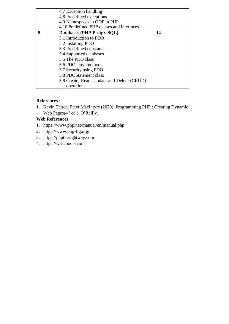|    | 4.7 Exception handling<br>4.8 Predefined exceptions                        |    |
|----|----------------------------------------------------------------------------|----|
|    | 4.9 Namespaces in OOP in PHP<br>4.10 Predefined PHP classes and interfaces |    |
| 5. | Databases (PHP-PostgreSQL)                                                 | 14 |
|    | 5.1 Introduction to PDO                                                    |    |
|    | 5.2 Installing PDO                                                         |    |
|    | 5.3 Predefined constants                                                   |    |
|    | 5.4 Supported databases                                                    |    |
|    | 5.5 The PDO class                                                          |    |
|    | 5.6 PDO class methods                                                      |    |
|    | 5.7 Security using PDO                                                     |    |
|    | 5.8 PDOStatement class                                                     |    |
|    | 5.9 Create, Read, Update and Delete (CRUD)                                 |    |
|    | operations                                                                 |    |

# **References** :

1. Kevin Tatroe, Peter MacIntyre (2020), Programming PHP : Creating Dynamic Web Pages(4<sup>th</sup> ed.). O'Reilly.

# **Web References** :

- 1. https:/[/www.php.net/manual/en/manual.php](http://www.php.net/manual/en/manual.php)
- 2. https:/[/www.php-fig.org/](http://www.php-fig.org/)
- 3. https://phptherightway.com
- 4. https://w3schools.com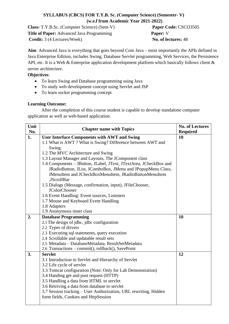# **SYLLABUS (CBCS) FOR T.Y.B. Sc. (Computer Science) (Semester- V) (w.e.f from Academic Year 2021-2022)**

**Class:** T.Y.B.Sc. (Computer Science) (Sem-V) **Paper Code:** CSCO3505 **Title of Paper:** Advanced Java Programming **Paper:** V **Credit:** 3 (4 Lectures/Week) **No. of lectures:** 48

**Aim**: Advanced Java is everything that goes beyond Core Java – most importantly the APIs defined in Java Enterprise Edition, includes Swing, Database Servlet programming, Web Services, the Persistence API, etc. It is a Web & Enterprise application development platform which basically follows client  $\&$ server architecture.

## **Objectives**:

- To learn Swing and Database programming using Java
- To study web development concept using Servlet and JSP
- To learn socket programming concept

## **Learning Outcome:**

After the completion of this course student is capable to develop standalone computer application as well as web-based application.

| Unit |                                                                   | <b>No. of Lectures</b> |
|------|-------------------------------------------------------------------|------------------------|
| No.  | <b>Chapter name with Topics</b>                                   | <b>Required</b>        |
| 1.   | <b>User Interface Components with AWT and Swing</b>               | 10                     |
|      | 1.1 What is AWT? What is Swing? Difference between AWT and        |                        |
|      | Swing.                                                            |                        |
|      | 1.2 The MVC Architecture and Swing                                |                        |
|      | 1.3 Layout Manager and Layouts, The JComponent class              |                        |
|      | 1.4 Components - JButton, JLabel, JText, JTextArea, JCheckBox and |                        |
|      | JRadioButton, JList, JComboBox, JMenu and JPopupMenu Class,       |                        |
|      | JMenuItem and JCheckBoxMenuItem, JRadioButtonMenuItem             |                        |
|      | ,JScrollBar                                                       |                        |
|      | 1.5 Dialogs (Message, confirmation, input), JFileChooser,         |                        |
|      | <b>JColorChooser</b>                                              |                        |
|      | 1.6 Event Handling: Event sources, Listeners                      |                        |
|      | 1.7 Mouse and Keyboard Event Handling                             |                        |
|      | 1.8 Adapters                                                      |                        |
|      | 1.9 Anonymous inner class                                         |                        |
| 2.   | <b>Database Programming</b>                                       | 10                     |
|      | 2.1 The design of jdbc, jdbc configuration                        |                        |
|      | 2.2 Types of drivers                                              |                        |
|      | 2.3 Executing sql statements, query execution                     |                        |
|      | 2.4 Scrollable and updatable result sets                          |                        |
|      | 2.5 Metadata - DatabaseMetadata, ResultSetMetadata                |                        |
|      | 2.6 Transactions – commit(), rollback(), SavePoint                |                        |
| 3.   | <b>Servlet</b>                                                    | 12                     |
|      | 3.1 Introduction to Servlet and Hierarchy of Servlet              |                        |
|      | 3.2 Life cycle of servlet                                         |                        |
|      | 3.3 Tomcat configuration (Note: Only for Lab Demonstration)       |                        |
|      | 3.4 Handing get and post request (HTTP)                           |                        |
|      | 3.5 Handling a data from HTML to servlet                          |                        |
|      | 3.6 Retriving a data from database to servlet                     |                        |
|      | 3.7 Session tracking - User Authorization, URL rewriting, Hidden  |                        |
|      | form fields, Cookies and HttpSession                              |                        |
|      |                                                                   |                        |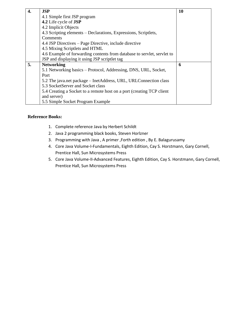| 4. | <b>JSP</b>                                                              | <b>10</b> |
|----|-------------------------------------------------------------------------|-----------|
|    | 4.1 Simple first JSP program                                            |           |
|    | 4.2 Life cycle of <b>JSP</b>                                            |           |
|    | 4.2 Implicit Objects                                                    |           |
|    | 4.3 Scripting elements – Declarations, Expressions, Scriptlets,         |           |
|    | Comments                                                                |           |
|    | 4.4 JSP Directives – Page Directive, include directive                  |           |
|    | 4.5 Mixing Scriptlets and HTML                                          |           |
|    | 4.6 Example of forwarding contents from database to servlet, servlet to |           |
|    | JSP and displaying it using JSP scriptlet tag                           |           |
| 5. | <b>Networking</b>                                                       | 6         |
|    | 5.1 Networking basics – Protocol, Addressing, DNS, URL, Socket,         |           |
|    | Port                                                                    |           |
|    | 5.2 The java.net package - InetAddress, URL, URLConnection class        |           |
|    | 5.3 SocketServer and Socket class                                       |           |
|    | 5.4 Creating a Socket to a remote host on a port (creating TCP client   |           |
|    | and server)                                                             |           |
|    | 5.5 Simple Socket Program Example                                       |           |

## **Reference Books:**

- 1. Complete reference Java by Herbert Schildt
- 2. Java 2 programming black books, Steven Horlzner
- 3. Programming with Java , A primer ,Forth edition , By E. Balagurusamy
- 4. Core Java Volume-I-Fundamentals, Eighth Edition, Cay S. Horstmann, Gary Cornell, Prentice Hall, Sun Microsystems Press
- 5. Core Java Volume-II-Advanced Features, Eighth Edition, Cay S. Horstmann, Gary Cornell, Prentice Hall, Sun Microsystems Press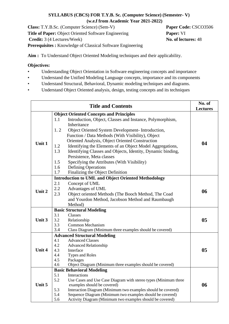# **SYLLABUS (CBCS) FOR T.Y.B. Sc. (Computer Science) (Semester- V) (w.e.f from Academic Year 2021-2022)**

**Class:** T.Y.B.Sc. (Computer Science) (Sem-V) **Paper Code:** CSCO3506 **Title of Paper:** Object Oriented Software Engineering **Paper:** VI **Credit:** 3 (4 Lectures/Week) **No. of lectures:** 48 **Prerequisites :** Knowledge of Classical Software Engineering

**Aim :** To Understand Object Oriented Modeling techniques and their applicability.

# **Objectives:**

- Understanding Object Orientation in Software engineering concepts and importance
- Understand the Unified Modeling Language concepts, importance and its components
- Understand Structural, Behavioral, Dynamic modeling techniques and diagrams.
- Understand Object Oriented analysis, design, testing concepts and its techniques

|        | <b>Title and Contents</b>                                                                            | No. of<br><b>Lectures</b> |
|--------|------------------------------------------------------------------------------------------------------|---------------------------|
|        | <b>Object Oriented Concepts and Principles</b>                                                       |                           |
|        | Introduction, Object, Classes and Instance, Polymorphism,<br>1.1<br>Inheritance                      |                           |
|        | 1.2<br>Object Oriented System Development- Introduction,                                             |                           |
|        | Function / Data Methods (With Visibility), Object<br>Oriented Analysis, Object Oriented Construction |                           |
| Unit 1 | Identifying the Elements of an Object Model Aggregations,<br>1.2                                     | 04                        |
|        | 1.3<br>Identifying Classes and Objects, Identity, Dynamic binding,                                   |                           |
|        | Persistence, Meta classes                                                                            |                           |
|        | 1.5<br>Specifying the Attributes (With Visibility)                                                   |                           |
|        | 1.6<br><b>Defining Operations</b>                                                                    |                           |
|        | 1.7<br>Finalizing the Object Definition                                                              |                           |
|        | <b>Introduction to UML and Object Oriented Methodology</b>                                           |                           |
|        | Concept of UML<br>2.1                                                                                |                           |
|        | 2.2<br>Advantages of UML                                                                             |                           |
| Unit 2 | 2.3<br>Object oriented Methods (The Booch Method, The Coad                                           | 06                        |
|        | and Yourdon Method, Jacobson Method and Raumbaugh                                                    |                           |
|        | Method)                                                                                              |                           |
|        | <b>Basic Structural Modeling</b>                                                                     |                           |
|        | Classes<br>3.1                                                                                       |                           |
| Unit 3 | 3.2<br>Relationship                                                                                  | 05                        |
|        | 3.3<br>Common Mechanism                                                                              |                           |
|        | 3.4<br>Class Diagram (Minimum three examples should be covered)                                      |                           |
|        | <b>Advanced Structural Modeling</b>                                                                  |                           |
|        | <b>Advanced Classes</b><br>4.1                                                                       |                           |
|        | 4.2<br><b>Advanced Relationship</b>                                                                  |                           |
| Unit 4 | 4.3<br>Interface                                                                                     | 05                        |
|        | 4.4<br>Types and Roles                                                                               |                           |
|        | 4.5<br>Packages                                                                                      |                           |
|        | Object Diagram (Minimum three examples should be covered)<br>4.6                                     |                           |
|        | <b>Basic Behavioral Modeling</b>                                                                     |                           |
|        | 5.1<br>Interactions<br>5.2<br>Use Cases and Use Case Diagram with stereo types (Minimum three        |                           |
| Unit 5 | examples should be covered)                                                                          | 06                        |
|        | 5.3<br>Interaction Diagram (Minimum two examples should be covered)                                  |                           |
|        | Sequence Diagram (Minimum two examples should be covered)<br>5.4                                     |                           |
|        | Activity Diagram (Minimum two examples should be covered)<br>5.6                                     |                           |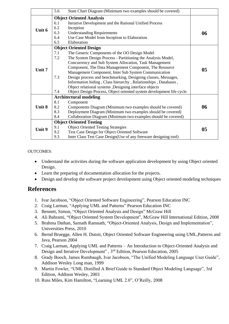|        | 5.6                            | State Chart Diagram (Minimum two examples should be covered)          |    |
|--------|--------------------------------|-----------------------------------------------------------------------|----|
|        |                                | <b>Object Oriented Analysis</b>                                       |    |
|        | 6.1                            | Iterative Development and the Rational Unified Process                |    |
| Unit 6 | 6.2                            | Inception                                                             |    |
|        | 6.3                            | <b>Understanding Requirements</b>                                     | 06 |
|        | 6.4                            | Use Case Model from Inception to Elaboration                          |    |
|        | 6.5                            | Elaboration                                                           |    |
|        |                                | <b>Object Oriented Design</b>                                         |    |
|        | 7.1                            | The Generic Components of the OO Design Model                         |    |
|        | 7.2                            | The System Design Process - Partitioning the Analysis Model,          |    |
|        |                                | Concurrency and Sub System Allocation, Task Management                |    |
| Unit 7 |                                | Component, The Data Management Component, The Resource                | 05 |
|        |                                | Management Component, Inter Sub System Communication                  |    |
|        | 7.3                            | Design process and benchmarking, Designing classes, Messages,         |    |
|        |                                | Information hiding, Class hierarchy, Relationships, Databases,        |    |
|        |                                | Object relational systems , Designing interface objects               |    |
|        | 7.4                            | Object Design Process, Object oriented system development life cycle. |    |
|        |                                | <b>Architectural modeling</b>                                         |    |
|        | 8.1                            | Component                                                             |    |
| Unit 8 | 8.2                            | Components Diagram (Minimum two examples should be covered)           | 06 |
|        | 8.3                            | Deployment Diagram (Minimum two examples should be covered)           |    |
|        | 8.4                            | Collaboration Diagram (Minimum two examples should be covered)        |    |
|        | <b>Object Oriented Testing</b> |                                                                       |    |
| Unit 9 | 9.1                            | <b>Object Oriented Testing Strategies</b>                             | 05 |
|        | 9.2                            | Test Case Design for Object Oriented Software                         |    |
|        | 9.3                            | Inter Class Test Case Design (Use of any freeware designing tool)     |    |

## OUTCOMES:

- Understand the activities during the software application development by using Object oriented Design.
- Learn the preparing of documentation allocation for the projects.
- Design and develop the software project development using Object oriented modeling techniques

# **References**

- 1. Ivar Jacobson, "Object Oriented Software Engineering", Pearson Education INC
- 2. Craig Larman, "Applying UML and Patterns" Pearson Education INC
- 3. Bennett, Simon, "Object Oriented Analysis and Design" McGraw Hill
- 4. Ali Bahrami, "Object Oriented System Development", McGraw Hill International Edition, 2008
- 5. Brahma Dathan, Sarnath Ramnath, "Object-Oriented Analysis, Design and Implementation", Universities Press, 2010
- 6. Bernd Bruegge, Allen H. Dutoit, Object Oriented Software Engineering using UML,Patterns and Java, Pearson 2004
- 7. Craig Larman, Applying UML and Patterns An Introduction to Object-Oriented Analysis and Design and Iterative Development", 3<sup>rd</sup> Edition, Pearson Education, 2005
- 8. Grady Booch, James Rumbaugh, Ivar Jacobson, "The Unified Modeling Language User Guide", Addison Wesley Long man, 1999
- 9. Martin Fowler, "UML Distilled A Brief Guide to Standard Object Modeling Language", 3rd Edition, Addison Wesley, 2003
- 10. Russ Miles, Kim Hamilton, "Learning UML 2.0", O'Reilly, 2008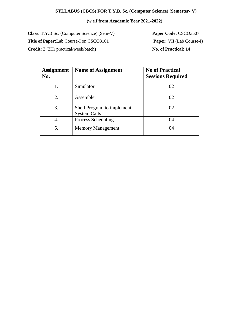# **SYLLABUS (CBCS) FOR T.Y.B. Sc. (Computer Science) (Semester- V)**

# **(w.e.f from Academic Year 2021-2022)**

**Class:** T.Y.B.Sc. (Computer Science) (Sem-V) **Paper Code:** CSCO3507 **Title of Paper:**Lab Course-I on CSCO3101 **Paper:** VII **(**Lab Course-I) **Credit:** 3 (3Hr practical/week/batch) **No. of Practical:** 14

| <b>Assignment</b><br>No. | <b>Name of Assignment</b>                         | <b>No of Practical</b><br><b>Sessions Required</b> |
|--------------------------|---------------------------------------------------|----------------------------------------------------|
|                          | Simulator                                         | 02                                                 |
| 2.                       | Assembler                                         | 02                                                 |
| 3.                       | Shell Program to implement<br><b>System Calls</b> | 02                                                 |
| 4.                       | Process Scheduling                                | 04                                                 |
| 5.                       | <b>Memory Management</b>                          | 04                                                 |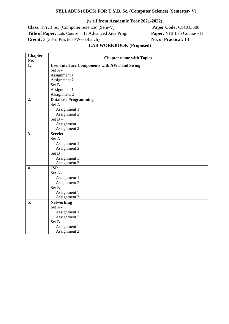#### **SYLLABUS (CBCS) FOR T.Y.B. Sc. (Computer Science) (Semester- V)**

#### **(w.e.f from Academic Year 2021-2022)**

**Class:** T.Y.B.Sc. (Computer Science) (Sem-V) **Paper Code:** CSCO3508 **Title of Paper:** Lab. Course – II : Advanced Java Prog. **Paper:** VIII Lab Course - II **Credit:** 3 (3 Hr. Practical/Week/batch) **No. of Practical: 13**

#### **Chapter Chapter name with Topics<br>
No. <b>EXECUTE:** User Interface Components with AWT and Swing **1. User Interface Components with AWT and Swing** Set A - Assignment 1 Assignment 2 Set B – Assignment 1 Assignment 2 **2. Database Programming** Set A - Assignment 1 Assignment 2 Set B – Assignment 1 Assignment 2 **3. Servlet** Set A - Assignment 1 Assignment 2 Set B – Assignment 1 Assignment 2 **4. JSP** Set A - Assignment 1 Assignment 2 Set B – Assignment 1 Assignment 2 **5. Networking** Set A - Assignment 1 Assignment 2 Set B – Assignment 1 Assignment 2

#### **LAB WORKBOOK (Proposed)**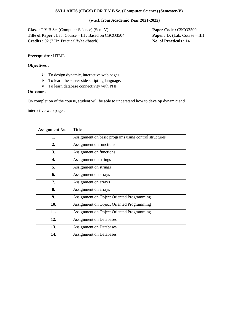#### **SYLLABUS (CBCS) FOR T.Y.B.Sc. (Computer Science) (Semester-V)**

#### **(w.e.f. from Academic Year 2021-2022)**

**Class :** T.Y.B.Sc. (Computer Science) (Sem-V) **Paper Code :** CSCO3509 **Title of Paper :** Lab. Course – III : Based on CSCO3504 **Paper :** IX (Lab. Course – III) **Credits :** 02 (3 Hr. Practical/Week/batch) **No. of Practicals :** 14

#### **Prerequisite** : HTML

#### **Objectives** :

- ➢ To design dynamic, interactive web pages.
- $\triangleright$  To learn the server side scripting language.
- ➢ To learn database connectivity with PHP

#### **Outcome** :

On completion of the course, student will be able to understand how to develop dynamic and

interactive web pages.

| <b>Assignment No.</b> | Title                                                 |
|-----------------------|-------------------------------------------------------|
| 1.                    | Assignment on basic programs using control structures |
| 2.                    | Assignment on functions                               |
| 3.                    | Assignment on functions                               |
| 4.                    | Assignment on strings                                 |
| 5.                    | Assignment on strings                                 |
| 6.                    | Assignment on arrays                                  |
| 7.                    | Assignment on arrays                                  |
| 8.                    | Assignment on arrays                                  |
| 9.                    | Assignment on Object Oriented Programming             |
| 10.                   | <b>Assignment on Object Oriented Programming</b>      |
| 11.                   | <b>Assignment on Object Oriented Programming</b>      |
| 12.                   | <b>Assignment on Databases</b>                        |
| 13.                   | <b>Assignment on Databases</b>                        |
| 14.                   | <b>Assignment on Databases</b>                        |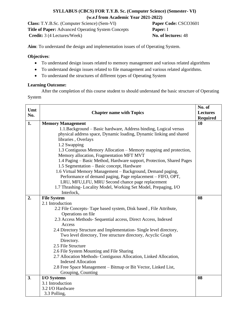# **SYLLABUS (CBCS) FOR T.Y.B. Sc. (Computer Science) (Semester- VI) (w.e.f from Academic Year 2021-2022)**

**Class:** T.Y.B.Sc. (Computer Science) (Sem-VI) **Paper Code:** CSCO3601 **Title of Paper:** Advanced Operating System Concepts **Paper:** I **Credit:** 3 (4 Lectures/Week) **No. of lectures:** 48

**Aim**: To understand the design and implementation issues of of Operating System.

#### **Objectives**:

- To understand design issues related to memory management and various related algorithms
- To understand design issues related to file management and various related algorithms.
- To understand the structures of different types of Operating System

#### **Learning Outcome:**

After the completion of this course student to should understand the basic structure of Operating System

| Umt |                                                                         | No. of<br><b>Lectures</b> |
|-----|-------------------------------------------------------------------------|---------------------------|
| No. | <b>Chapter name with Topics</b>                                         |                           |
|     |                                                                         | <b>Required</b>           |
| 1.  | <b>Memory Management</b>                                                | 10                        |
|     | 1.1. Background - Basic hardware, Address binding, Logical versus       |                           |
|     | physical address space, Dynamic loading, Dynamic linking and shared     |                           |
|     | libraries, Overlays                                                     |                           |
|     | 1.2 Swapping                                                            |                           |
|     | 1.3 Contiguous Memory Allocation – Memory mapping and protection,       |                           |
|     | Memory allocation, Fragmentation MFT MVT                                |                           |
|     | 1.4 Paging – Basic Method, Hardware support, Protection, Shared Pages   |                           |
|     | 1.5 Segmentation – Basic concept, Hardware                              |                           |
|     | 1.6 Virtual Memory Management - Background, Demand paging,              |                           |
|     | Performance of demand paging, Page replacement - FIFO, OPT,             |                           |
|     | LRU, MFU,LFU, MRU Second chance page replacement                        |                           |
|     | 1.7 Thrashing-Locality Model, Working Set Model, Prepaging, I/O         |                           |
|     | Interlock,                                                              |                           |
| 2.  | <b>File System</b>                                                      | 08                        |
|     | 2.1 Introduction                                                        |                           |
|     | 2.2 File Concepts- Tape based system, Disk based, File Attribute,       |                           |
|     | Operations on file                                                      |                           |
|     | 2.3 Access Methods- Sequential access, Direct Access, Indexed<br>Access |                           |
|     | 2.4 Directory Structure and Implementation-Single level directory,      |                           |
|     | Two level directory, Tree structure directory, Acyclic Graph            |                           |
|     | Directory.                                                              |                           |
|     | 2.5 File Structure                                                      |                           |
|     | 2.6 File System Mounting and File Sharing                               |                           |
|     | 2.7 Allocation Methods- Contiguous Allocation, Linked Allocation,       |                           |
|     | <b>Indexed Allocation</b>                                               |                           |
|     | 2.8 Free Space Management - Bitmap or Bit Vector, Linked List,          |                           |
|     | Grouping, Counting                                                      |                           |
| 3.  | I/O Systems                                                             | 08                        |
|     | 3.1 Introduction                                                        |                           |
|     | 3.2 I/O Hardware                                                        |                           |
|     | 3.3 Polling,                                                            |                           |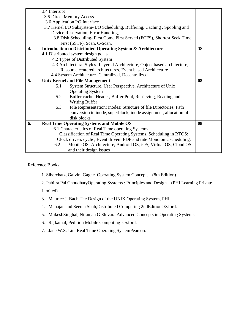|                  | 3.4 Interrupt                 |                                                                            |    |
|------------------|-------------------------------|----------------------------------------------------------------------------|----|
|                  |                               | 3.5 Direct Memory Access                                                   |    |
|                  | 3.6 Application I/O Interface |                                                                            |    |
|                  |                               | 3.7 Kernel I/O Subsystem- I/O Scheduling, Buffering, Caching, Spooling and |    |
|                  |                               | Device Reservation, Error Handling,                                        |    |
|                  |                               | 3.8 Disk Scheduling-First Come First Served (FCFS), Shortest Seek Time     |    |
|                  |                               | First (SSTF), Scan, C-Scan.                                                |    |
| $\overline{4}$ . |                               | <b>Introduction to Distributed Operating System &amp; Architecture</b>     | 08 |
|                  |                               | 4.1 Distributed system design goals                                        |    |
|                  |                               | 4.2 Types of Distributed System                                            |    |
|                  |                               | 4.3 Architectural Styles-Layered Architecture, Object based architecture,  |    |
|                  |                               | Resource centered architectures, Event based Architecture                  |    |
|                  |                               | 4.4 System Architecture- Centralized, Decentralized                        |    |
| 5.               |                               | <b>Unix Kernel and File Management</b>                                     | 08 |
|                  | 5.1                           | System Structure, User Perspective, Architecture of Unix                   |    |
|                  |                               | <b>Operating System</b>                                                    |    |
|                  | 5.2                           | Buffer cache: Header, Buffer Pool, Retrieving, Reading and                 |    |
|                  |                               | <b>Writing Buffer</b>                                                      |    |
|                  | 5.3                           | File Representation: inodes: Structure of file Directories, Path           |    |
|                  |                               | conversion to inode, superblock, inode assignment, allocation of           |    |
|                  |                               | disk blocks                                                                |    |
| 6.               |                               | <b>Real Time Operating Systems and Mobile OS</b>                           | 08 |
|                  |                               | 6.1 Characteristics of Real Time operating Systems,                        |    |
|                  |                               | Classification of Real Time Operating Systems, Scheduling in RTOS:         |    |
|                  |                               | Clock driven: cyclic, Event driven: EDF and rate Monotonic scheduling.     |    |
|                  | 6.2                           | Mobile OS: Architecture, Android OS, iOS, Virtual OS, Cloud OS             |    |
|                  |                               | and their design issues                                                    |    |

# Reference Books

1. Siberchatz, Galvin, Gagne Operating System Concepts - (8th Edition).

2. Pabitra Pal ChoudharyOperating Systems : Principles and Design – (PHI Learning Private Limited)

- 3. Maurice J. Bach.The Design of the UNIX Operating System, PHI
- 4. Mahajan and Seema Shah,Distributed Computing 2ndEditionOXford.
- 5. MukeshSinghal, Niranjan G ShivaratAdvanced Concepts in Operating Systems
- 6. Rajkamal, Pedition Mobile Computing Oxford.
- 7. Jane W.S. Liu, Real Time Operating SystemPearson.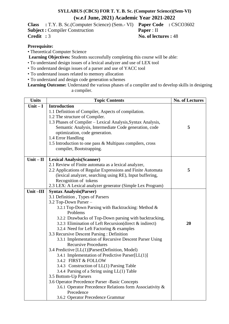# **SYLLABUS (CBCS) FOR T. Y. B. Sc. (Computer Science)(Sem-VI) (w.e.f June, 2021) Academic Year 2021-2022**

**Class :** T.Y. B. Sc.(Computer Science) (Sem.- VI) **Paper Code :** CSCO3602

**Subject :** Compiler Construction **Paper** : II

**Prerequisite:**

• Theoretical Computer Science

**Learning Objectives:** Students successfully completing this course will be able:

- To understand design issues of a lexical analyzer and use of LEX tool
- To understand design issues of a parser and use of YACC tool
- To understand issues related to memory allocation
- To understand and design code generation schemes
- **Learning Outcome:** Understand the various phases of a compiler and to develop skills in designing a compiler.

| <b>Units</b> | <b>Topic Contents</b>                                                             | <b>No. of Lectures</b> |
|--------------|-----------------------------------------------------------------------------------|------------------------|
| Unit $-I$    | <b>Introduction</b>                                                               |                        |
|              | 1.1 Definition of Compiler, Aspects of compilation.                               |                        |
|              | 1.2 The structure of Compiler.                                                    |                        |
|              | 1.3 Phases of Compiler - Lexical Analysis, Syntax Analysis,                       |                        |
|              | Semantic Analysis, Intermediate Code generation, code                             | 5                      |
|              | optimization, code generation.                                                    |                        |
|              | 1.4 Error Handling                                                                |                        |
|              | 1.5 Introduction to one pass & Multipass compilers, cross                         |                        |
|              | compiler, Bootstrapping.                                                          |                        |
|              |                                                                                   |                        |
| $Unit - II$  | <b>Lexical Analysis (Scanner)</b>                                                 |                        |
|              | 2.1 Review of Finite automata as a lexical analyzer,                              |                        |
|              | 2.2 Applications of Regular Expressions and Finite Automata                       | 5                      |
|              | (lexical analyzer, searching using RE), Input buffering,<br>Recognition of tokens |                        |
|              | 2.3 LEX: A Lexical analyzer generator (Simple Lex Program)                        |                        |
| Unit-III     | <b>Syntax Analysis (Parser)</b>                                                   |                        |
|              | 3.1 Definition, Types of Parsers                                                  |                        |
|              | 3.2 Top-Down Parser -                                                             |                        |
|              | 3.2.1 Top-Down Parsing with Backtracking: Method &                                |                        |
|              | Problems                                                                          |                        |
|              | 3.2.2 Drawbacks of Top-Down parsing with backtracking,                            |                        |
|              | 3.2.3 Elimination of Left Recursion (direct & indirect)                           | 20                     |
|              | 3.2.4 Need for Left Factoring & examples                                          |                        |
|              | 3.3 Recursive Descent Parsing : Definition                                        |                        |
|              | 3.3.1 Implementation of Recursive Descent Parser Using                            |                        |
|              | <b>Recursive Procedures</b>                                                       |                        |
|              | 3.4 Predictive [LL(1)]Parser(Definition, Model)                                   |                        |
|              | 3.4.1 Implementation of Predictive Parser[LL(1)]                                  |                        |
|              | 3.4.2 FIRST & FOLLOW                                                              |                        |
|              | 3.4.3 Construction of LL(1) Parsing Table                                         |                        |
|              | 3.4.4 Parsing of a String using $LL(1)$ Table                                     |                        |
|              | 3.5 Bottom-Up Parsers                                                             |                        |
|              | 3.6 Operator Precedence Parser -Basic Concepts                                    |                        |
|              | 3.6.1 Operator Precedence Relations form Associativity &                          |                        |
|              | Precedence                                                                        |                        |
|              | 3.6.2 Operator Precedence Grammar                                                 |                        |

**Credit :** 3 **No. of lectures :** 48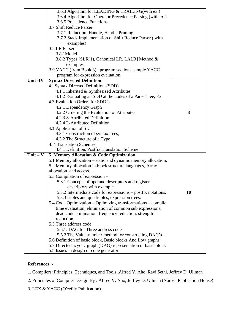|            | 3.6.3 Algorithm for LEADING & TRAILING(with ex.)                                    |           |
|------------|-------------------------------------------------------------------------------------|-----------|
|            | 3.6.4 Algorithm for Operator Precedence Parsing (with ex.)                          |           |
|            | 3.6.5 Precedence Functions                                                          |           |
|            | 3.7 Shift Reduce Parser                                                             |           |
|            | 3.7.1 Reduction, Handle, Handle Pruning                                             |           |
|            | 3.7.2 Stack Implementation of Shift Reduce Parser (with                             |           |
|            | examples)                                                                           |           |
|            | 3.8 LR Parser                                                                       |           |
|            | 3.8.1Model                                                                          |           |
|            | 3.8.2 Types [SLR(1), Canonical LR, LALR] Method &                                   |           |
|            | examples.                                                                           |           |
|            | 3.9 YACC (from Book 3) – program sections, simple YACC                              |           |
|            | program for expression evaluation                                                   |           |
| Unit -IV   | <b>Syntax Directed Definition</b>                                                   |           |
|            | 4.1 Syntax Directed Definitions (SDD)                                               |           |
|            | 4.1.1 Inherited & Synthesized Attributes                                            |           |
|            | 4.1.2 Evaluating an SDD at the nodes of a Parse Tree, Ex.                           |           |
|            | 4.2 Evaluation Orders for SDD's                                                     |           |
|            | 4.2.1 Dependency Graph                                                              |           |
|            | 4.2.2 Ordering the Evaluation of Attributes                                         | 8         |
|            | 4.2.3 S-Attributed Definition                                                       |           |
|            | 4.2.4 L-Attributed Definition                                                       |           |
|            | 4.3 Application of SDT                                                              |           |
|            | 4.3.1 Construction of syntax trees,                                                 |           |
|            | 4.3.2 The Structure of a Type                                                       |           |
|            | 4.4 Translation Schemes                                                             |           |
|            | 4.4.1 Definition, Postfix Translation Scheme                                        |           |
| $Unit - V$ |                                                                                     |           |
|            | 5. Memory Allocation & Code Optimization                                            |           |
|            | 5.1 Memory allocation – static and dynamic memory allocation,                       |           |
|            | 5.2 Memory allocation in block structure languages, Array<br>allocation and access. |           |
|            |                                                                                     |           |
|            | 5.3 Compilation of expression –                                                     |           |
|            | 5.3.1 Concepts of operand descriptors and register                                  |           |
|            | descriptors with example.                                                           |           |
|            | 5.3.2 Intermediate code for expressions - postfix notations,                        | <b>10</b> |
|            | 5.3.3 triples and quadruples, expression trees.                                     |           |
|            | 5.4 Code Optimization – Optimizing transformations – compile                        |           |
|            | time evaluation, elimination of common sub expressions,                             |           |
|            | dead code elimination, frequency reduction, strength                                |           |
|            | reduction                                                                           |           |
|            | 5.5 Three address code                                                              |           |
|            | 5.5.1. DAG for Three address code                                                   |           |
|            | 5.5.2 The Value-number method for constructing DAG's.                               |           |
|            | 5.6 Definition of basic block, Basic blocks And flow graphs                         |           |
|            | 5.7 Directed acyclic graph (DAG) representation of basic block                      |           |
|            | 5.8 Issues in design of code generator                                              |           |

# **References :-**

1. Compilers: Principles, Techniques, and Tools ,Alfred V. Aho, Ravi Sethi, Jeffrey D. Ullman

2. Principles of Compiler Design By : Alfred V. Aho, Jeffrey D. Ullman (Narosa Publication House)

3. LEX & YACC (O'reilly Publication)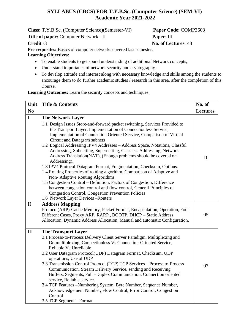# **SYLLABUS (CBCS) FOR T.Y.B.Sc. (Computer Science) (SEM-VI) Academic Year 2021-2022**

**Class:** T.Y.B.Sc. (Computer Science)(Semester-VI) **Paper Code**: COMP3603

**Title of paper:** Computer Network - II **Paper**: III

**Credit** -3 **No. of Lectures**: 48

**Pre-requisites:** Basics of computer networks covered last semester.

# **Learning Objectives:**

- To enable students to get sound understanding of additional Network concepts,
- Understand importance of network security and cryptography.
- To develop attitude and interest along with necessary knowledge and skills among the students to encourage them to do further academic studies / research in this area, after the completion of this Course.

**Learning Outcomes:** Learn the security concepts and techniques.

| Unit           | <b>Title &amp; Contents</b>                                                                                                                                                                                                                                                                                                                                                                                                                                                                                                                                                                                                                                                                                                                                                                                                                                                                                                                                        | No. of          |
|----------------|--------------------------------------------------------------------------------------------------------------------------------------------------------------------------------------------------------------------------------------------------------------------------------------------------------------------------------------------------------------------------------------------------------------------------------------------------------------------------------------------------------------------------------------------------------------------------------------------------------------------------------------------------------------------------------------------------------------------------------------------------------------------------------------------------------------------------------------------------------------------------------------------------------------------------------------------------------------------|-----------------|
| N <sub>0</sub> |                                                                                                                                                                                                                                                                                                                                                                                                                                                                                                                                                                                                                                                                                                                                                                                                                                                                                                                                                                    | <b>Lectures</b> |
| $\mathbf I$    | <b>The Network Layer</b><br>1.1 Design Issues Store-and-forward packet switching, Services Provided to<br>the Transport Layer, Implementation of Connectionless Service,<br>Implementation of Connection Oriented Service, Comparison of Virtual<br>Circuit and Datagram subnets<br>1.2 Logical Addressing IPV4 Addresses - Address Space, Notations, Classful<br>Addressing, Subnetting, Supernetting, Classless Addressing, Network<br>Address Translation(NAT), (Enough problems should be covered on<br>Addressing),<br>1.3 IPV4 Protocol Datagram Format, Fragmentation, Checksum, Options.<br>1.4 Routing Properties of routing algorithm, Comparison of Adaptive and<br>Non-Adaptive Routing Algorithms<br>1.5 Congestion Control – Definition, Factors of Congestion, Difference<br>between congestion control and flow control, General Principles of<br><b>Congestion Control, Congestion Prevention Policies</b><br>1.6 Network Layer Devices - Routers | 10              |
| $\mathbf{I}$   | <b>Address Mapping</b><br>Protocol(ARP)-Cache Memory, Packet Format, Encapsulation, Operation, Four<br>Different Cases, Proxy ARP, RARP, BOOTP, DHCP - Static Address<br>Allocation, Dynamic Address Allocation, Manual and automatic Configuration.                                                                                                                                                                                                                                                                                                                                                                                                                                                                                                                                                                                                                                                                                                               | 05              |
| III            | <b>The Transport Layer</b><br>3.1 Process-to-Process Delivery Client Server Paradigm, Multiplexing and<br>De-multiplexing, Connectionless Vs Connection-Oriented Service,<br>Reliable Vs Unreliable<br>3.2 User Datagram Protocol(UDP) Datagram Format, Checksum, UDP<br>operations, Use of UDP<br>3.3 Transmission Control Protocol (TCP) TCP Services - Process to-Process<br>Communication, Stream Delivery Service, sending and Receiving<br>Buffers, Segments, Full -Duplex Communication, Connection oriented<br>service, Reliable service.<br>3.4 TCP Features -Numbering System, Byte Number, Sequence Number,<br>Acknowledgement Number, Flow Control, Error Control, Congestion<br>Control<br>3.5 TCP Segment – Format                                                                                                                                                                                                                                   | 07              |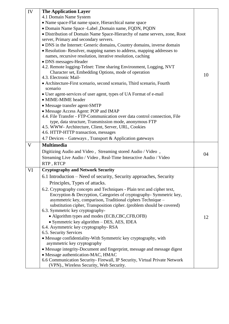| IV | <b>The Application Layer</b>                                                       |    |
|----|------------------------------------------------------------------------------------|----|
|    | 4.1 Domain Name System                                                             |    |
|    | • Name space-Flat name space, Hierarchical name space                              |    |
|    | · Domain Name Space -Label , Domain name, FQDN, PQDN                               |    |
|    | • Distribution of Domain Name Space-Hierarchy of name servers, zone, Root          |    |
|    | server, Primary and secondary servers.                                             |    |
|    | • DNS in the Internet: Generic domains, Country domains, inverse domain            |    |
|    | • Resolution-Resolver, mapping names to address, mapping addresses to              |    |
|    | names, recursive resolution, iterative resolution, caching                         |    |
|    | • DNS messages-Header                                                              |    |
|    | 4.2. Remote logging-Telnet: Time sharing Environment, Logging, NVT                 |    |
|    | Character set, Embedding Options, mode of operation                                | 10 |
|    | 4.3. Electronic Mail-                                                              |    |
|    | • Architecture-First scenario, second scenario, Third scenario, Fourth<br>scenario |    |
|    | • User agent-services of user agent, types of UA Format of e-mail                  |    |
|    | • MIME-MIME header                                                                 |    |
|    | • Message transfer agent-SMTP                                                      |    |
|    | • Message Access Agent: POP and IMAP                                               |    |
|    | 4.4. File Transfer - FTP-Communication over data control connection, File          |    |
|    | type, data structure, Transmission mode, anonymous FTP                             |    |
|    | 4.5. WWW- Architecture, Client, Server, URL, Cookies                               |    |
|    | 4.6. HTTP-HTTP transaction, messages                                               |    |
|    | 4.7 Devices – Gateways, Transport & Application gateways                           |    |
| V  | <b>Multimedia</b>                                                                  |    |
|    | Digitizing Audio and Video, Streaming stored Audio / Video,                        | 04 |
|    | Streaming Live Audio / Video, Real-Time Interactive Audio / Video                  |    |
|    | RTP, RTCP                                                                          |    |
| VI | <b>Cryptography and Network Security</b>                                           |    |
|    | 6.1 Introduction – Need of security, Security approaches, Security                 |    |
|    | Principles, Types of attacks.                                                      |    |
|    | 6.2. Cryptography concepts and Techniques - Plain text and cipher text,            |    |
|    | Encryption & Decryption, Categories of cryptography- Symmetric key,                |    |
|    | asymmetric key, comparison, Traditional ciphers Technique -                        |    |
|    | substitution cipher, Transposition cipher. (problem should be covered)             |    |
|    | 6.3. Symmetric key cryptography-                                                   |    |
|    | • Algorithm types and modes (ECB, CBC, CFB, OFB)                                   | 12 |
|    | • Symmetric key algorithm - DES, AES, IDEA                                         |    |
|    | 6.4. Asymmetric key cryptography-RSA                                               |    |
|    | 6.5. Security Services                                                             |    |
|    | • Message confidentiality-With Symmetric key cryptography, with                    |    |
|    | asymmetric key cryptography                                                        |    |
|    | • Message integrity-Document and fingerprint, message and message digest           |    |
|    | • Message authentication-MAC, HMAC                                                 |    |
|    | 6.6 Communication Security-Firewall, IP Security, Virtual Private Network          |    |
|    | (VPN)., Wireless Security, Web Security.                                           |    |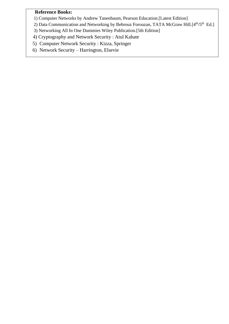# **Reference Books:**

- 1) Computer Networks by Andrew Tanenbaum, Pearson Education.[Latest Edition]
- 2) Data Communication and Networking by Behrouz Forouzan, TATA McGraw Hill. $[4<sup>th</sup>/5<sup>th</sup> Ed.]$
- 3) Networking All In One Dummies Wiley Publication.[5th Edition]
- 4) Cryptography and Network Security : Atul Kahate
- 5) Computer Network Security : Kizza, Springer
- 6) Network Security Harrington, Elsevie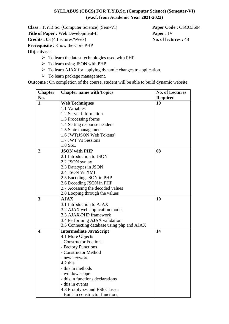# **SYLLABUS (CBCS) FOR T.Y.B.Sc. (Computer Science) (Semester-VI) (w.e.f. from Academic Year 2021-2022)**

**Class :** T.Y.B.Sc. (Computer Science) (Sem-VI) **Paper Code :** CSCO3604 **Title of Paper :** Web Development-II **Paper :** IV **Credits :** 03 (4 Lectures/Week) **No. of lectures :** 48 **Prerequisite** : Know the Core PHP **Objectives** :

- ➢ To learn the latest technologies used with PHP.
- ➢ To learn using JSON with PHP.
- ➢ To learn AJAX for applying dynamic changes to application.
- ➢ To learn package management.

**Outcome** : On completion of the course, student will be able to build dynamic website.

| <b>Chapter</b> | <b>Chapter name with Topics</b>            | <b>No. of Lectures</b> |
|----------------|--------------------------------------------|------------------------|
| No.            |                                            | <b>Required</b>        |
| 1.             | <b>Web Techniques</b>                      | 10                     |
|                | 1.1 Variables                              |                        |
|                | 1.2 Server information                     |                        |
|                | 1.3 Processing forms                       |                        |
|                | 1.4 Setting response headers               |                        |
|                | 1.5 State management                       |                        |
|                | 1.6 JWT(JSON Web Tokens)                   |                        |
|                | 1.7 JWT Vs Sessions                        |                        |
|                | 1.8 SSL                                    |                        |
| 2.             | <b>JSON</b> with PHP                       | 08                     |
|                | 2.1 Introduction to JSON                   |                        |
|                | 2.2 JSON syntax                            |                        |
|                | 2.3 Datatypes in JSON                      |                        |
|                | 2.4 JSON Vs XML                            |                        |
|                | 2.5 Encoding JSON in PHP                   |                        |
|                | 2.6 Decoding JSON in PHP                   |                        |
|                | 2.7 Accessing the decoded values           |                        |
|                | 2.8 Looping through the values             |                        |
| 3.             | <b>AJAX</b>                                | 10                     |
|                | 3.1 Introduction to AJAX                   |                        |
|                | 3.2 AJAX web application model             |                        |
|                | 3.3 AJAX-PHP framework                     |                        |
|                | 3.4 Performing AJAX validation             |                        |
|                | 3.5 Connecting database using php and AJAX |                        |
| 4.             | <b>Intermediate JavaScript</b>             | 14                     |
|                | 4.1 More Objects                           |                        |
|                | - Constructor Fuctions                     |                        |
|                | - Factory Functions                        |                        |
|                | - Constructor Method                       |                        |
|                | - new keyword                              |                        |
|                | 4.2 this                                   |                        |
|                | - this in methods                          |                        |
|                | - window scope                             |                        |
|                | - this in functions declarations           |                        |
|                | - this in events                           |                        |
|                | 4.3 Prototypes and ES6 Classes             |                        |
|                | - Built-in constructor functions           |                        |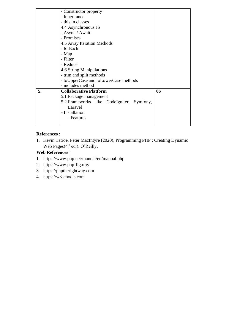| 06                                        |
|-------------------------------------------|
|                                           |
| 5.2 Frameworks like CodeIgniter, Symfony, |
|                                           |
|                                           |
|                                           |
|                                           |
|                                           |

# **References** :

1. Kevin Tatroe, Peter MacIntyre (2020), Programming PHP : Creating Dynamic Web Pages(4<sup>th</sup> ed.). O'Reilly.

# **Web References** :

- 1. https:/[/www.php.net/manual/en/manual.php](http://www.php.net/manual/en/manual.php)
- 2. https:/[/www.php-fig.org/](http://www.php-fig.org/)
- 3. https://phptherightway.com
- 4. https://w3schools.com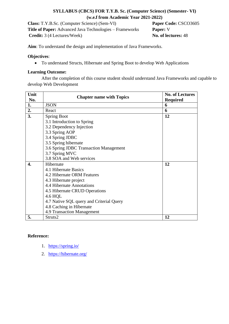# **SYLLABUS (CBCS) FOR T.Y.B. Sc. (Computer Science) (Semester- VI) (w.e.f from Academic Year 2021-2022)**

| <b>Class:</b> T.Y.B.Sc. (Computer Science) (Sem-VI)            | Paper Code: CSCO3605 |
|----------------------------------------------------------------|----------------------|
| <b>Title of Paper:</b> Advanced Java Technologies – Frameworks | <b>Paper:</b> V      |
| <b>Credit:</b> 3 (4 Lectures/Week)                             | No. of lectures: 48  |

**Aim**: To understand the design and implementation of Java Frameworks.

#### **Objectives**:

• To understand Structs, Hibernate and Spring Boot to develop Web Applications

#### **Learning Outcome:**

After the completion of this course student should understand Java Frameworks and capable to develop Web Development

| Unit<br>No. | <b>Chapter name with Topics</b>          | <b>No. of Lectures</b><br><b>Required</b> |
|-------------|------------------------------------------|-------------------------------------------|
| 1.          | <b>JSON</b>                              | 6                                         |
| 2.          | React                                    | 6                                         |
| 3.          | <b>Spring Boot</b>                       | 12                                        |
|             | 3.1 Introduction to Spring               |                                           |
|             | 3.2 Dependency Injection                 |                                           |
|             | 3.3 Spring AOP                           |                                           |
|             | 3.4 Spring JDBC                          |                                           |
|             | 3.5 Spring hibernate                     |                                           |
|             | 3.6 Spring JDBC Transaction Management   |                                           |
|             | 3.7 Spring MVC                           |                                           |
|             | 3.8 SOA and Web services                 |                                           |
| 4.          | Hibernate                                | 12                                        |
|             | 4.1 Hibernate Basics                     |                                           |
|             | 4.2 Hibernate ORM Features               |                                           |
|             | 4.3 Hibernate project                    |                                           |
|             | 4.4 Hibernate Annotations                |                                           |
|             | 4.5 Hibernate CRUD Operations            |                                           |
|             | 4.6 HQL                                  |                                           |
|             | 4.7 Native SQL query and Criterial Query |                                           |
|             | 4.8 Caching in Hibernate                 |                                           |
|             | 4.9 Transaction Management               |                                           |
| 5.          | Struts2                                  | 12                                        |

# **Reference:**

- 1. <https://spring.io/>
- 2. <https://hibernate.org/>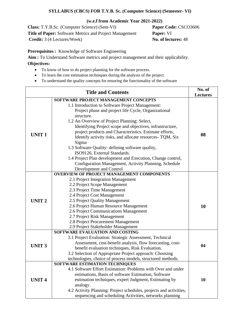# **SYLLABUS (CBCS) FOR T.Y.B. Sc. (Computer Science) (Semester- VI)**

#### **(w.e.f from Academic Year 2021-2022)**

**Class:** T.Y.B.Sc. (Computer Science) (Sem-VI) **Paper Code:** CSCO3606 **Title of Paper:** Software Metrics and Project Management **Paper:** VI **Credit:** 3 (4 Lectures/Week) **No. of lectures:** 48

**Prerequisites :** Knowledge of Software Engineering

**Aim :** To Understand Software metrics and project management and their applicability.

# **Objectives:**

- To know of how to do project planning for the software process.
- To learn the cost estimation techniques during the analysis of the project.
- To understand the quality concepts for ensuring the functionality of the software

| <b>Title and Contents</b> |                                                                                                                                                                                                                                                                                                                                                                                                                                                                                                                                                                                  | No. of<br><b>Lectures</b> |
|---------------------------|----------------------------------------------------------------------------------------------------------------------------------------------------------------------------------------------------------------------------------------------------------------------------------------------------------------------------------------------------------------------------------------------------------------------------------------------------------------------------------------------------------------------------------------------------------------------------------|---------------------------|
|                           | SOFTWARE PROJECT MANAGEMENT CONCEPTS                                                                                                                                                                                                                                                                                                                                                                                                                                                                                                                                             |                           |
| <b>UNIT1</b>              | 1.1 Introduction to Software Project Management:<br>Project phase and project life Cycle, Organizational<br>structure.<br>1.2 An Overview of Project Planning: Select,<br>Identifying Project scope and objectives, infrastructure,<br>project products and Characteristics. Estimate efforts,<br>Identify activity risks, and allocate resources- TQM, Six<br>Sigma<br>1.3 Software Quality: defining software quality,<br>ISO9126, External Standards.<br>1.4 Project Plan development and Execution, Change control,<br>Configuration Management, Activity Planning, Schedule | 08                        |
| <b>UNIT2</b>              | Development and Control<br><b>OVERVIEW OF PROJECT MANAGEMENT COMPONENTS</b><br>2.1 Project Integration Management<br>2.2 Project Scope Management<br>2.3 Project Time Management<br>2.4 Project Cost Management<br>2.5 Project Quality Management<br>2.6 Project Human Resource Management<br>2.6 Project Communications Management<br>2.7 Project Risk Management<br>2.8 Project Procurement Management<br>2.9 Project Stakeholder Management                                                                                                                                   | 10                        |
| <b>UNIT3</b>              | SOFTWARE EVALUATION AND COSTING<br>3.1 Project Evaluation: Strategic Assessment, Technical<br>Assessment, cost-benefit analysis, flow forecasting, cost-<br>benefit evaluation techniques, Risk Evaluation.<br>3.2 Selection of Appropriate Project approach: Choosing<br>technologies, choice of process models, structured methods.                                                                                                                                                                                                                                            | 04                        |
| <b>UNIT4</b>              | SOFTWARE ESTIMATION TECHNIQUES<br>4.1 Software Effort Estimation: Problems with Over and under<br>estimations, Basis of software Estimation, Software<br>estimation techniques, expert Judgment, Estimating by<br>analogy.<br>4.2 Activity Planning: Project schedules, projects and activities,<br>sequencing and scheduling Activities, networks planning                                                                                                                                                                                                                      | 10                        |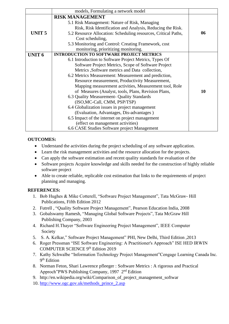|                   | models, Formulating a network model                            |    |
|-------------------|----------------------------------------------------------------|----|
|                   | <b>RISK MANAGEMENT</b>                                         |    |
|                   | 5.1 Risk Management: Nature of Risk, Managing                  |    |
|                   | Risk, Risk Identification and Analysis, Reducing the Risk.     |    |
| UNIT <sub>5</sub> | 5.2 Resource Allocation: Scheduling resources, Critical Paths, | 06 |
|                   | Cost scheduling,                                               |    |
|                   | 5.3 Monitoring and Control: Creating Framework, cost           |    |
|                   | monitoring, prioritizing monitoring.                           |    |
| <b>UNIT 6</b>     | <b>INTRODUCTION TO SOFTWARE PROJECT METRICS</b>                |    |
|                   | 6.1 Introduction to Software Project Metrics, Types Of         |    |
|                   | Software Project Metrics, Scope of Software Project            |    |
|                   | Metrics , Software metrics and Data collection,                |    |
|                   | 6.2 Metrics Measurement: Measurement and prediction,           |    |
|                   | Resource measurement, Productivity Measurement,                |    |
|                   | Mapping measurement activities, Measurement tool, Role         |    |
|                   | of Measures (Analyst, tools, Plans, Revision Plans,            | 10 |
|                   | 6.3 Quality Measurement- Quality Standards                     |    |
|                   | (ISO, MC-Call, CMM, PSP/TSP)                                   |    |
|                   | 6.4 Globalization issues in project management                 |    |
|                   | (Evaluation, Advantages, Dis-advantages)                       |    |
|                   | 6.5 Impact of the internet on project management               |    |
|                   | (effect on management activities)                              |    |
|                   | 6.6 CASE Studies Software project Management                   |    |

# **OUTCOMES:**

- Understand the activities during the project scheduling of any software application.
- Learn the risk management activities and the resource allocation for the projects.
- Can apply the software estimation and recent quality standards for evaluation of the
- Software projects Acquire knowledge and skills needed for the construction of highly reliable software project
- Able to create reliable, replicable cost estimation that links to the requirements of project planning and managing.

# **REFERENCES:**

- 1. Bob Hughes & Mike Cotterell, "Software Project Management", Tata McGraw- Hill Publications, Fifth Edition 2012
- 2. Futrell , "Quality Software Project Management", Pearson Education India, 2008
- 3. Gobalswamy Ramesh, "Managing Global Software Projects", Tata McGraw Hill Publishing Company, 2003
- 4. Richard H.Thayer "Software Engineering Project Management", IEEE Computer Society
- 5. S. A. Kelkar," Software Project Management" PHI, New Delhi, Third Edition ,2013
- 6. Roger Pressman "ISE Software Engineering: A Practitioner's Approach" ISE HED IRWIN COMPUTER SCIENCE 9th Edition 2019
- 7. Kathy Schwalbe "Information Technology Project Management"Cengage Learning Canada Inc. 9<sup>th</sup> Edition
- 8. Norman Feton, Shari Lawrence pfleeger : Software Metrics : A rigorous and Practical Approch"PWS Publishing Company, 1997 2nd Edition
- 9. [http://en.wikipedia.org/wiki/Comparison\\_of\\_project\\_management\\_softwar](http://en.wikipedia.org/wiki/Comparison_of_project_management_softwar)
- 10. [http://www.ogc.gov.uk/methods\\_prince\\_2.asp](http://www.ogc.gov.uk/methods_prince_2.asp)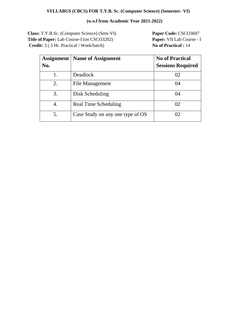# **SYLLABUS (CBCS) FOR T.Y.B. Sc. (Computer Science) (Semester- VI)**

# **(w.e.f from Academic Year 2021-2022)**

**Class:** T.Y.B.Sc. (Computer Science) (Sem-VI) **Paper Code:** CSCO3607 **Title of Paper:** Lab Course-I (on CSCO3202) **Paper:** VII Lab Course - I **Credit:** 3 ( 3 Hr. Practical / Week/batch) **No of Practical :** 14

| Assignment | <b>Name of Assignment</b>        | <b>No of Practical</b>   |
|------------|----------------------------------|--------------------------|
| No.        |                                  | <b>Sessions Required</b> |
|            | <b>Deadlock</b>                  | 02                       |
| 2.         | File Management                  | 04                       |
| 3.         | Disk Scheduling                  | 04                       |
| 4.         | Real Time Scheduling             | 02                       |
| 5.         | Case Study on any one type of OS | 02                       |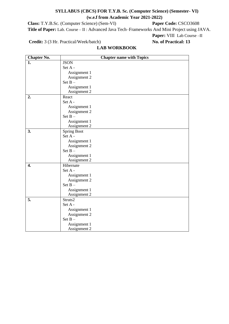# **SYLLABUS (CBCS) FOR T.Y.B. Sc. (Computer Science) (Semester- VI) (w.e.f from Academic Year 2021-2022)**

**Class:** T.Y.B.Sc. (Computer Science) (Sem-VI) **Paper Code:** CSCO3608 **Title of Paper:** Lab. Course – II : Advanced Java Tech–Frameworks And Mini Project using JAVA. **Paper:** VIII Lab Course –II

**Credit:** 3 (3 Hr. Practical/Week/batch) **No. of Practical: 13**

# **LAB WORKBOOK**

| <b>Chapter No.</b> | <b>Chapter name with Topics</b> |
|--------------------|---------------------------------|
| 1.                 | <b>JSON</b>                     |
|                    | Set A -                         |
|                    | Assignment 1                    |
|                    | Assignment 2                    |
|                    | Set $B -$                       |
|                    | Assignment 1                    |
|                    | Assignment 2                    |
| 2.                 | React                           |
|                    | Set A -                         |
|                    | Assignment 1                    |
|                    | Assignment 2                    |
|                    | Set $B -$                       |
|                    | Assignment 1                    |
|                    | Assignment 2                    |
| 3.                 | <b>Spring Boot</b>              |
|                    | Set A -                         |
|                    | Assignment 1                    |
|                    | Assignment 2                    |
|                    | Set $B -$                       |
|                    | Assignment 1                    |
|                    | Assignment 2                    |
| 4.                 | Hibernate                       |
|                    | Set A -                         |
|                    | Assignment 1                    |
|                    | Assignment 2                    |
|                    | Set $B -$                       |
|                    | Assignment 1                    |
|                    | Assignment 2                    |
| 5.                 | Struts2                         |
|                    | Set A -                         |
|                    | Assignment 1                    |
|                    | Assignment 2                    |
|                    | Set $B -$                       |
|                    | Assignment 1                    |
|                    | Assignment 2                    |